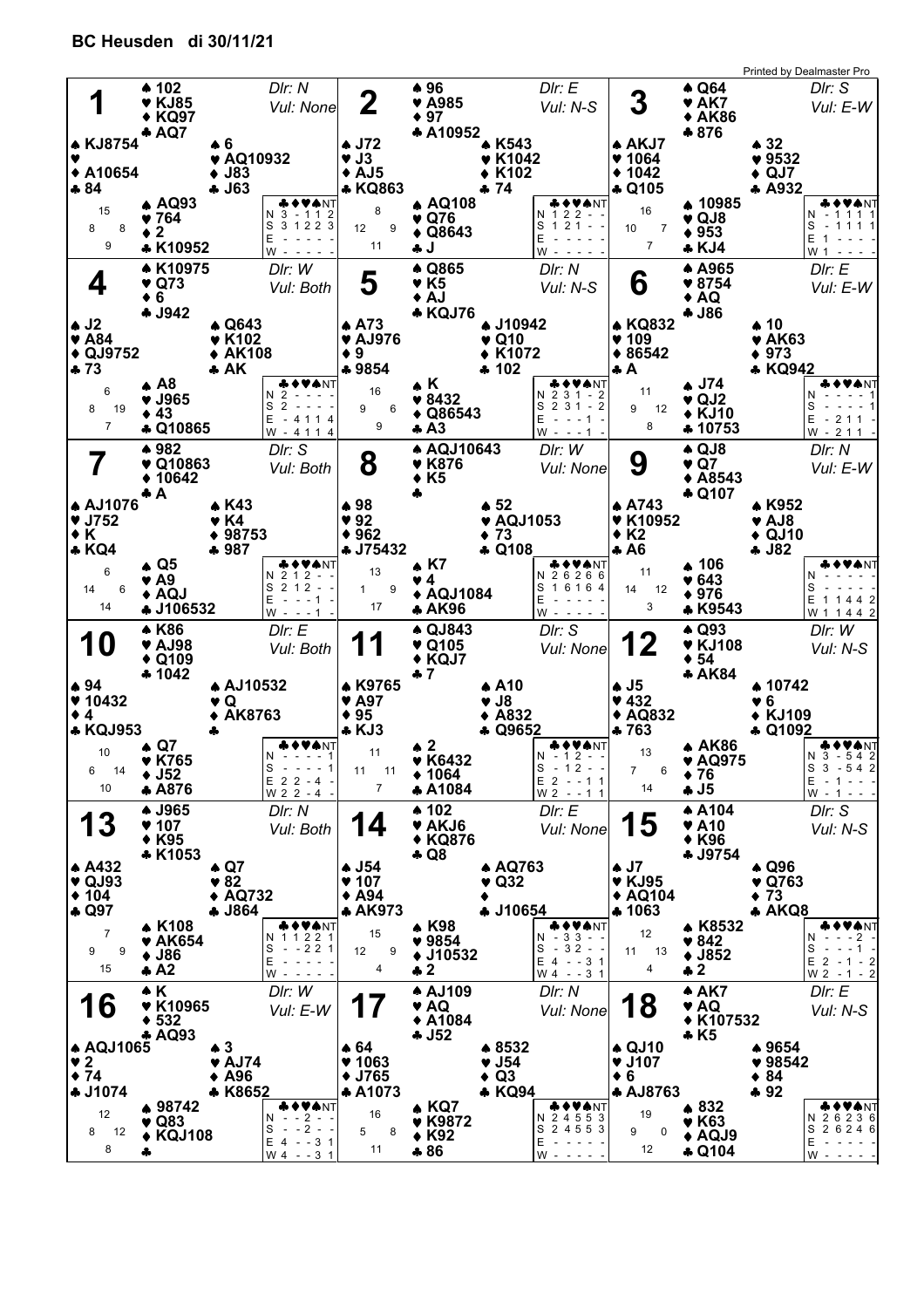